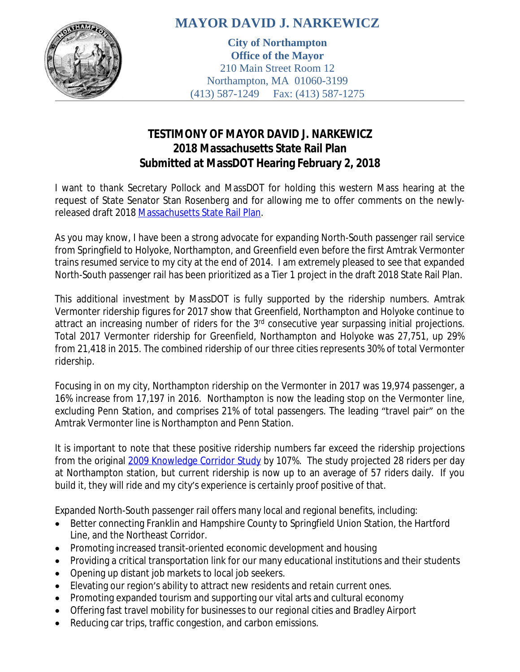

## **MAYOR DAVID J. NARKEWICZ**

**City of Northampton Office of the Mayor** 210 Main Street Room 12 Northampton, MA 01060-3199 (413) 587-1249 Fax: (413) 587-1275

## **TESTIMONY OF MAYOR DAVID J. NARKEWICZ 2018 Massachusetts State Rail Plan Submitted at MassDOT Hearing February 2, 2018**

I want to thank Secretary Pollock and MassDOT for holding this western Mass hearing at the request of State Senator Stan Rosenberg and for allowing me to offer comments on the newly-released draft 2018 [Massachusetts State Rail Plan](https://www.mass.gov/service-details/rail-plan).

As you may know, I have been a strong advocate for expanding North-South passenger rail service from Springfield to Holyoke, Northampton, and Greenfield even before the first Amtrak Vermonter trains resumed service to my city at the end of 2014. I am extremely pleased to see that expanded North-South passenger rail has been prioritized as a Tier 1 project in the draft 2018 State Rail Plan.

This additional investment by MassDOT is fully supported by the ridership numbers. Amtrak Vermonter ridership figures for 2017 show that Greenfield, Northampton and Holyoke continue to attract an increasing number of riders for the 3<sup>rd</sup> consecutive year surpassing initial projections. Total 2017 Vermonter ridership for Greenfield, Northampton and Holyoke was 27,751, up 29% from 21,418 in 2015. The combined ridership of our three cities represents 30% of total Vermonter ridership.

Focusing in on my city, Northampton ridership on the Vermonter in 2017 was 19,974 passenger, a 16% increase from 17,197 in 2016. Northampton is now the leading stop on the Vermonter line, excluding Penn Station, and comprises 21% of total passengers. The leading "travel pair" on the Amtrak Vermonter line is Northampton and Penn Station.

It is important to note that these positive ridership numbers far exceed the ridership projections from the original [2009 Knowledge Corridor Study](http://www.pvpc.org/sites/default/files/PVPC%20Rail%20Feasibility%20Study%20Final%20Report%202009.pdf) by 107%. The study projected 28 riders per day at Northampton station, but current ridership is now up to an average of 57 riders daily. If you build it, they will ride and my city's experience is certainly proof positive of that.

Expanded North-South passenger rail offers many local and regional benefits, including:

- Better connecting Franklin and Hampshire County to Springfield Union Station, the Hartford Line, and the Northeast Corridor.
- Promoting increased transit-oriented economic development and housing
- Providing a critical transportation link for our many educational institutions and their students
- Opening up distant job markets to local job seekers.
- Elevating our region's ability to attract new residents and retain current ones.
- Promoting expanded tourism and supporting our vital arts and cultural economy
- Offering fast travel mobility for businesses to our regional cities and Bradley Airport
- Reducing car trips, traffic congestion, and carbon emissions.